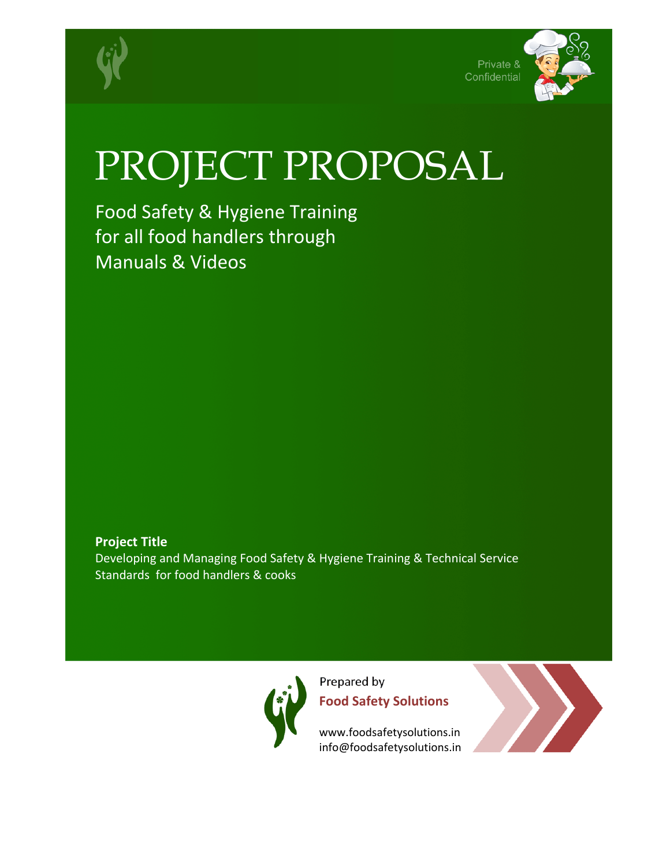





## PROJECT PROPOSAL

Food Safety & Hygiene Training for all food handlers through Manuals & Videos

**Project Title** Developing and Managing Food Safety & Hygiene Training & Technical Service Standards for food handlers & cooks



Prepared by **Food Safety Solutions**

www.foodsafetysolutions.in info@foodsafetysolutions.in

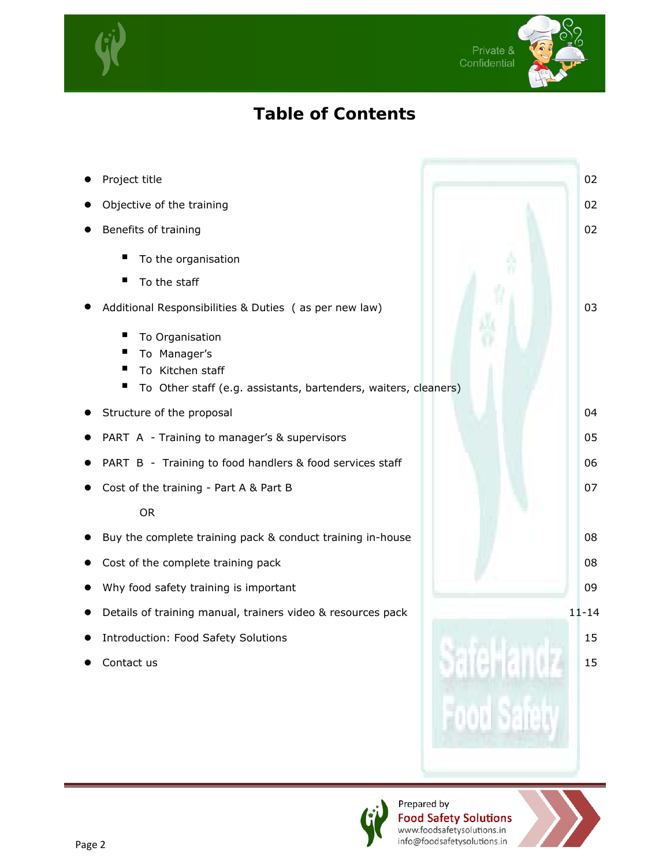



## **Table of Contents**

**Project title** 02 **z** Objective of the training 02 **z** Benefits of training 02 To the organisation To the staff • Additional Responsibilities & Duties ( as per new law) 03 To Organisation To Manager's To Kitchen staff To Other staff (e.g. assistants, bartenders, waiters, cleaners) **z** Structure of the proposal 04 PART A - Training to manager's & supervisors 05 PART B - Training to food handlers & food services staff 06 z Cost of the training - Part A & Part B 07 OR **•** Buy the complete training pack & conduct training in-house 08 **z** Cost of the complete training pack 08 Why food safety training is important 09 Details of training manual, trainers video & resources pack 11-14 **Introduction: Food Safety Solutions 15 and 2008 15 and 2008 15 and 2008 15 and 2008 15 and 2008 15 and 2008 15 Contact us and 25 and 26 and 26 and 26 and 26 and 26 and 26 and 26 and 26 and 26 and 26 and 26 and 26 and 26 and 26 and 26 and 26 and 26 and 26 and 26 and 26 and 26 and 26 and 26 and 26 and 26 and 26 and 26 and 26 and 26** 

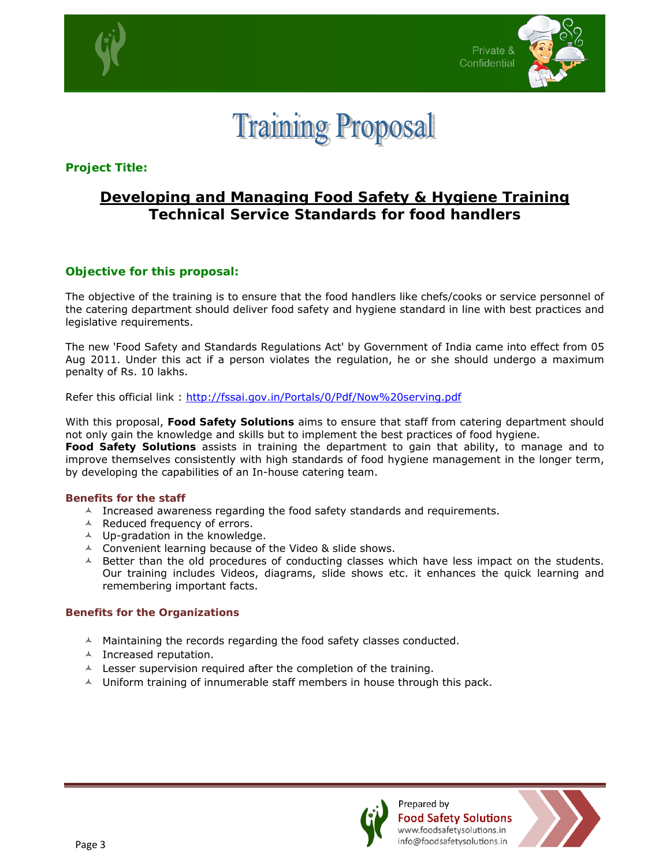



**Training Proposal** 

**Project Title:** 

## **Developing and Managing Food Safety & Hygiene Training Technical Service Standards for food handlers**

#### **Objective for this proposal:**

The objective of the training is to ensure that the food handlers like chefs/cooks or service personnel of the catering department should deliver food safety and hygiene standard in line with best practices and legislative requirements.

The new 'Food Safety and Standards Regulations Act' by Government of India came into effect from 05 Aug 2011. Under this act if a person violates the regulation, he or she should undergo a maximum penalty of Rs. 10 lakhs.

Refer this official link : http://fssai.gov.in/Portals/0/Pdf/Now%20serving.pdf

With this proposal, **Food Safety Solutions** aims to ensure that staff from catering department should not only gain the knowledge and skills but to implement the best practices of food hygiene.

**Food Safety Solutions** assists in training the department to gain that ability, to manage and to improve themselves consistently with high standards of food hygiene management in the longer term, by developing the capabilities of an In-house catering team.

#### **Benefits for the staff**

- $\lambda$  Increased awareness regarding the food safety standards and requirements.
- $\triangle$  Reduced frequency of errors.
- $\triangle$  Up-gradation in the knowledge.
- $\triangle$  Convenient learning because of the Video & slide shows.
- $\triangle$  Better than the old procedures of conducting classes which have less impact on the students. Our training includes Videos, diagrams, slide shows etc. it enhances the quick learning and remembering important facts.

#### **Benefits for the Organizations**

- $\triangle$  Maintaining the records regarding the food safety classes conducted.
- $\triangle$  Increased reputation.
- $\lambda$  Lesser supervision required after the completion of the training.
- $\triangle$  Uniform training of innumerable staff members in house through this pack.



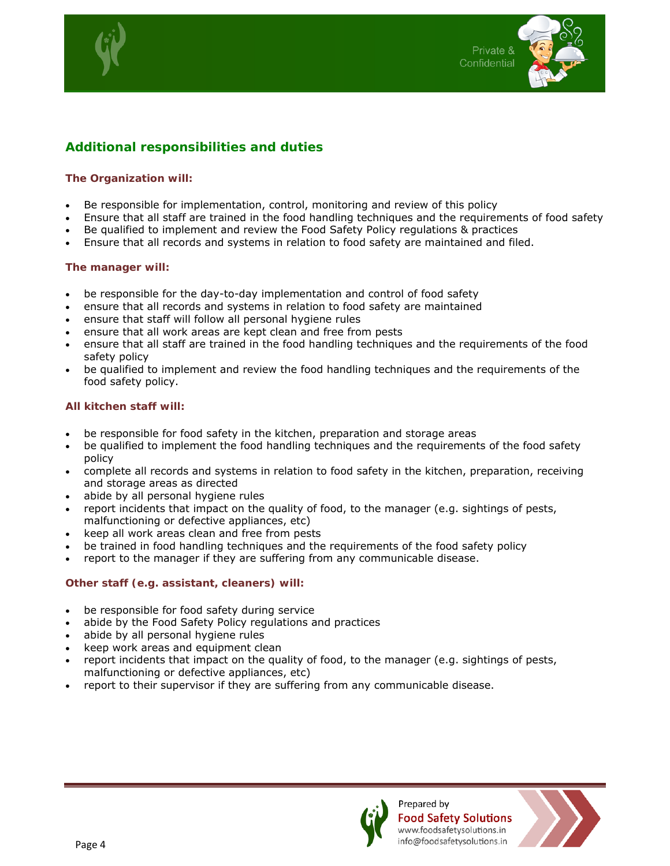



#### **Additional responsibilities and duties**

#### **The Organization will:**

- Be responsible for implementation, control, monitoring and review of this policy
- Ensure that all staff are trained in the food handling techniques and the requirements of food safety
- Be qualified to implement and review the Food Safety Policy regulations & practices
- Ensure that all records and systems in relation to food safety are maintained and filed.

#### **The manager will:**

- be responsible for the day-to-day implementation and control of food safety
- ensure that all records and systems in relation to food safety are maintained
- ensure that staff will follow all personal hygiene rules
- ensure that all work areas are kept clean and free from pests
- ensure that all staff are trained in the food handling techniques and the requirements of the food safety policy
- be qualified to implement and review the food handling techniques and the requirements of the food safety policy.

#### **All kitchen staff will:**

- be responsible for food safety in the kitchen, preparation and storage areas
- be qualified to implement the food handling techniques and the requirements of the food safety policy
- complete all records and systems in relation to food safety in the kitchen, preparation, receiving and storage areas as directed
- abide by all personal hygiene rules
- report incidents that impact on the quality of food, to the manager (e.g. sightings of pests, malfunctioning or defective appliances, etc)
- keep all work areas clean and free from pests
- be trained in food handling techniques and the requirements of the food safety policy
- report to the manager if they are suffering from any communicable disease.

#### **Other staff (e.g. assistant, cleaners) will:**

- be responsible for food safety during service
- abide by the Food Safety Policy regulations and practices
- abide by all personal hygiene rules
- keep work areas and equipment clean
- report incidents that impact on the quality of food, to the manager (e.g. sightings of pests, malfunctioning or defective appliances, etc)
- report to their supervisor if they are suffering from any communicable disease.



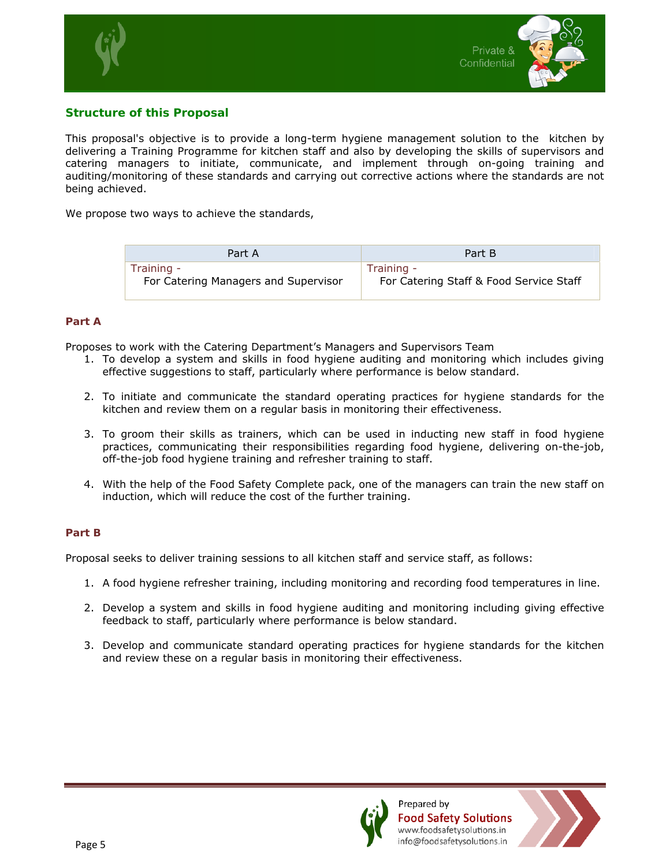



#### **Structure of this Proposal**

This proposal's objective is to provide a long-term hygiene management solution to the kitchen by delivering a Training Programme for kitchen staff and also by developing the skills of supervisors and catering managers to initiate, communicate, and implement through on-going training and auditing/monitoring of these standards and carrying out corrective actions where the standards are not being achieved.

We propose two ways to achieve the standards,

| Part A                               | Part B                                  |
|--------------------------------------|-----------------------------------------|
| Training -                           | Training -                              |
| For Catering Managers and Supervisor | For Catering Staff & Food Service Staff |

#### **Part A**

Proposes to work with the Catering Department's Managers and Supervisors Team

- 1. To develop a system and skills in food hygiene auditing and monitoring which includes giving effective suggestions to staff, particularly where performance is below standard.
- 2. To initiate and communicate the standard operating practices for hygiene standards for the kitchen and review them on a regular basis in monitoring their effectiveness.
- 3. To groom their skills as trainers, which can be used in inducting new staff in food hygiene practices, communicating their responsibilities regarding food hygiene, delivering on-the-job, off-the-job food hygiene training and refresher training to staff.
- 4. With the help of the Food Safety Complete pack, one of the managers can train the new staff on induction, which will reduce the cost of the further training.

#### **Part B**

Proposal seeks to deliver training sessions to all kitchen staff and service staff, as follows:

- 1. A food hygiene refresher training, including monitoring and recording food temperatures in line.
- 2. Develop a system and skills in food hygiene auditing and monitoring including giving effective feedback to staff, particularly where performance is below standard.
- 3. Develop and communicate standard operating practices for hygiene standards for the kitchen and review these on a regular basis in monitoring their effectiveness.



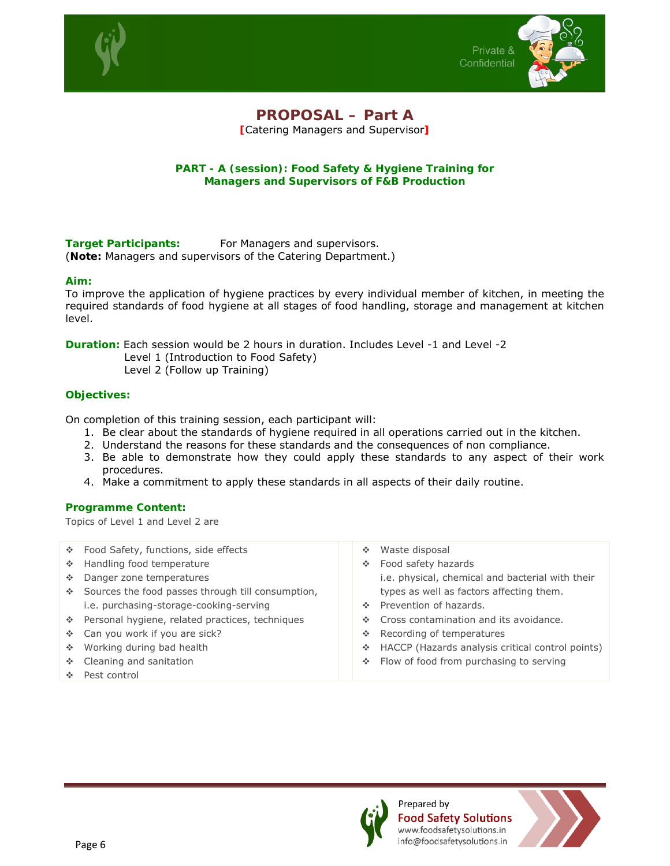



#### **PROPOSAL – Part A [**Catering Managers and Supervisor**]**

#### **PART - A (session): Food Safety & Hygiene Training for Managers and Supervisors of F&B Production**

**Target Participants:** For Managers and supervisors. (**Note:** *Managers and supervisors of the Catering Department*.)

#### **Aim:**

To improve the application of hygiene practices by every individual member of kitchen, in meeting the required standards of food hygiene at all stages of food handling, storage and management at kitchen level.

**Duration:** Each session would be 2 hours in duration. Includes Level -1 and Level -2 Level 1 (Introduction to Food Safety)

Level 2 (Follow up Training)

#### **Objectives:**

On completion of this training session, each participant will:

- 1. Be clear about the standards of hygiene required in all operations carried out in the kitchen.
- 2. Understand the reasons for these standards and the consequences of non compliance.
- 3. Be able to demonstrate how they could apply these standards to any aspect of their work procedures.
- 4. Make a commitment to apply these standards in all aspects of their daily routine.

#### **Programme Content:**

Topics of Level 1 and Level 2 are

|             | ❖ Food Safety, functions, side effects            | ÷  | Waste disposal                                   |
|-------------|---------------------------------------------------|----|--------------------------------------------------|
| <b>SALE</b> | Handling food temperature                         | ÷. | Food safety hazards                              |
| ÷           | Danger zone temperatures                          |    | i.e. physical, chemical and bacterial with their |
| A.          | Sources the food passes through till consumption, |    | types as well as factors affecting them.         |
|             | i.e. purchasing-storage-cooking-serving           |    | ❖ Prevention of hazards.                         |
|             | ❖ Personal hygiene, related practices, techniques | A. | Cross contamination and its avoidance.           |
|             | ❖ Can you work if you are sick?                   | ÷. | Recording of temperatures                        |
| ÷.          | Working during bad health                         | A. | HACCP (Hazards analysis critical control points) |
| ÷.          | Cleaning and sanitation                           |    | ❖ Flow of food from purchasing to serving        |
|             | Pest control                                      |    |                                                  |
|             |                                                   |    |                                                  |



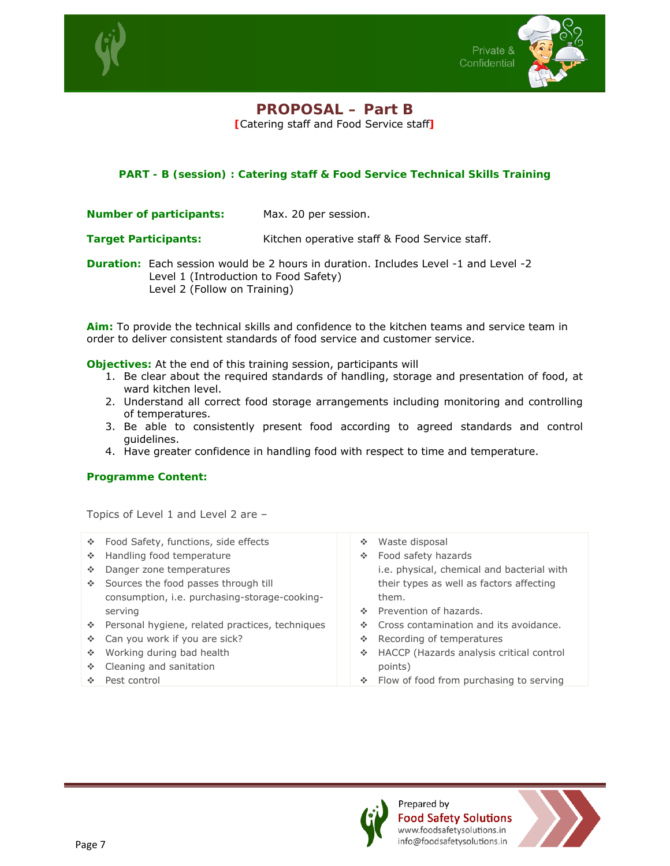



## **PROPOSAL – Part B**

**[**Catering staff and Food Service staff**]** 

#### **PART - B (session) : Catering staff & Food Service Technical Skills Training**

**Number of participants:** Max. 20 per session.

**Target Participants:** Kitchen operative staff & Food Service staff.

**Duration:** Each session would be 2 hours in duration. Includes Level -1 and Level -2 Level 1 (Introduction to Food Safety) Level 2 (Follow on Training)

**Aim:** To provide the technical skills and confidence to the kitchen teams and service team in order to deliver consistent standards of food service and customer service.

**Objectives:** At the end of this training session, participants will

- 1. Be clear about the required standards of handling, storage and presentation of food, at ward kitchen level.
- 2. Understand all correct food storage arrangements including monitoring and controlling of temperatures.
- 3. Be able to consistently present food according to agreed standards and control guidelines.
- 4. Have greater confidence in handling food with respect to time and temperature.

#### **Programme Content:**

Topics of Level 1 and Level 2 are –

- Food Safety, functions, side effects ◆ Handling food temperature Danger zone temperatures Sources the food passes through till consumption, i.e. purchasing-storage-cookingserving Waste disposal Food safety hazards them. Prevention of hazards.
- \* Personal hygiene, related practices, techniques
- Can you work if you are sick?
- ◆ Working during bad health
- ❖ Cleaning and sanitation
- Pest control
- i.e. physical, chemical and bacterial with their types as well as factors affecting
- ❖ Cross contamination and its avoidance.
- ❖ Recording of temperatures
- HACCP (Hazards analysis critical control points)
- Flow of food from purchasing to serving



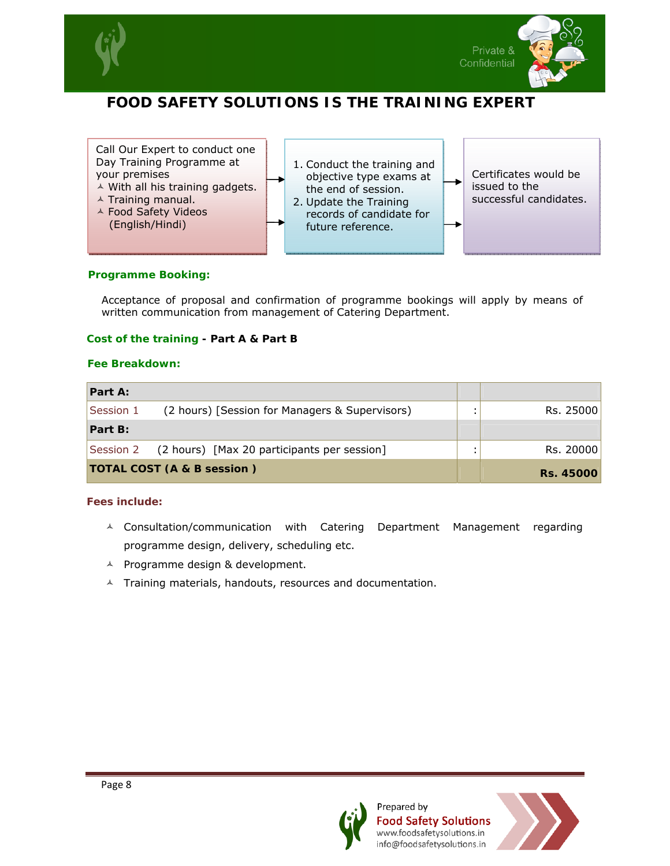

I



## **FOOD SAFETY SOLUTIONS IS THE TRAINING EXPERT**

Call Our Expert to conduct one Day Training Programme at your premises

- $\triangle$  With all his training gadgets.
- $\triangle$  Training manual.
- $\triangle$  Food Safety Videos (English/Hindi) Training manual.<br>Food Safety Videos<br>(English/Hindi)
- 1. Conduct the training and objective type exams at the end of session.
- 4. Update the Training records of candidate for future reference.

Certificates would be issued to the successful candidates.

#### **Programme Booking:**

Acceptance of proposal and confirmation of programme bookings will apply by means of written communication from management of Catering Department.

#### **Cost of the training - Part A & Part B**

#### **Fee Breakdown:**

| Part A:                                                     |  |                  |
|-------------------------------------------------------------|--|------------------|
| Session 1<br>(2 hours) [Session for Managers & Supervisors) |  | Rs. 25000        |
| Part B:                                                     |  |                  |
| (2 hours) [Max 20 participants per session]<br>Session 2    |  | Rs. 20000        |
| <b>TOTAL COST (A &amp; B session)</b>                       |  | <b>Rs. 45000</b> |

#### *Fees include:*

- $\wedge$  Consultation/communication with Catering Department Management regarding programme design, delivery, scheduling etc.
- $\triangle$  Programme design & development.
- $\lambda$  Training materials, handouts, resources and documentation.



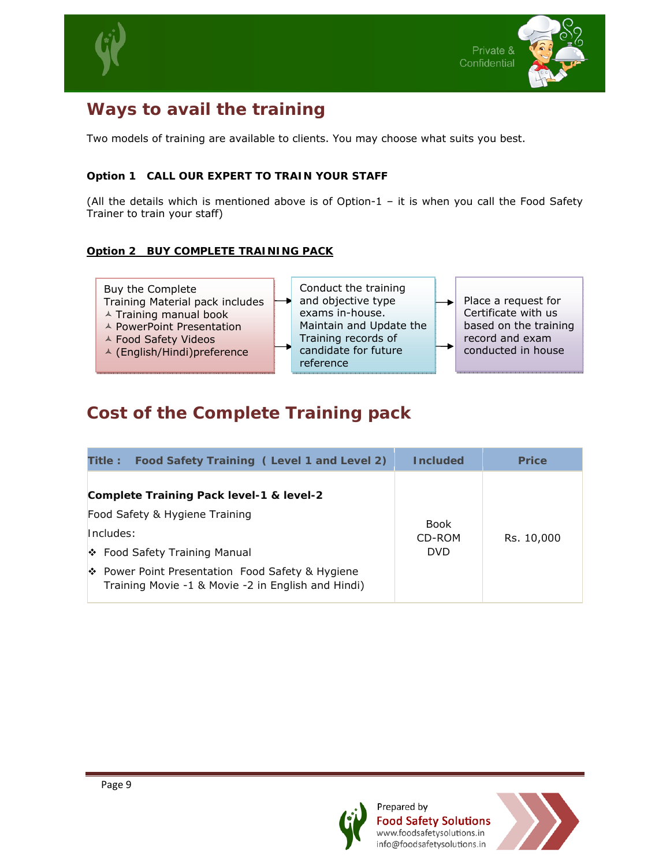



## **Ways to avail the training**

Two models of training are available to clients. You may choose what suits you best.

#### **Option 1 CALL OUR EXPERT TO TRAIN YOUR STAFF**

(All the details which is mentioned above is of Option-1 – it is when you call the Food Safety Trainer to train your staff)

#### **Option 2 BUY COMPLETE TRAINING PACK**



## **Cost of the Complete Training pack**

| Food Safety Training (Level 1 and Level 2)<br><b>Title:</b>                                            | <b>Included</b>                     | <b>Price</b> |
|--------------------------------------------------------------------------------------------------------|-------------------------------------|--------------|
| Complete Training Pack level-1 & level-2<br>Food Safety & Hygiene Training                             |                                     |              |
| Includes:<br>❖ Food Safety Training Manual                                                             | <b>Book</b><br>CD-ROM<br><b>DVD</b> | Rs. 10,000   |
| ❖ Power Point Presentation Food Safety & Hygiene<br>Training Movie -1 & Movie -2 in English and Hindi) |                                     |              |



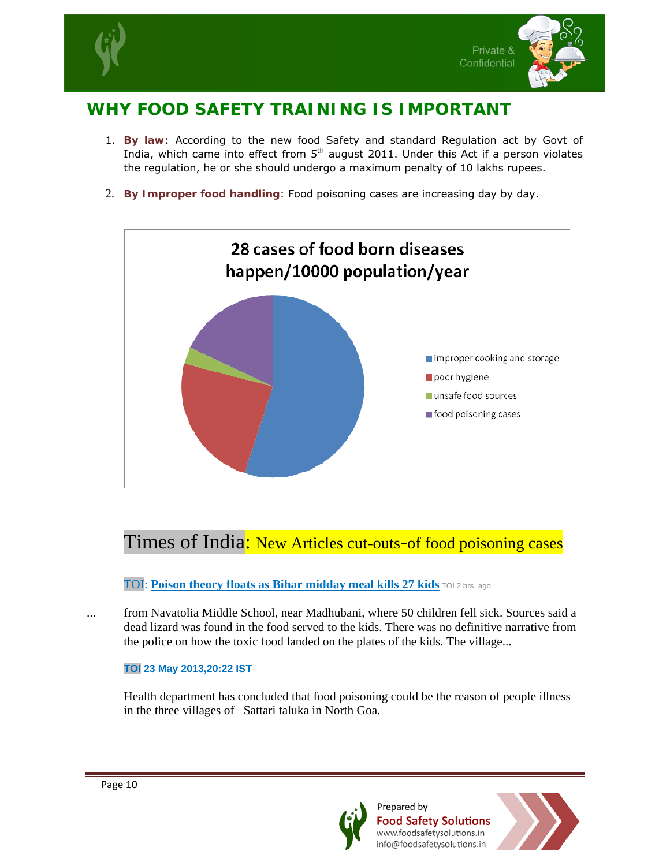



## **WHY FOOD SAFETY TRAINING IS IMPORTANT**

- 1. **By law**: According to the new food Safety and standard Regulation act by Govt of India, which came into effect from  $5<sup>th</sup>$  august 2011. Under this Act if a person violates the regulation, he or she should undergo a maximum penalty of 10 lakhs rupees.
- 2. **By Improper food handling**: Food poisoning cases are increasing day by day.



## Times of India: New Articles cut-outs-of food poisoning cases

#### TOI: **Poison theory floats as Bihar midday meal kills 27 kids** TOI 2 hrs. ago

... from Navatolia Middle School, near Madhubani, where 50 children fell sick. Sources said a dead lizard was found in the food served to the kids. There was no definitive narrative from the police on how the toxic food landed on the plates of the kids. The village...

#### **TOI 23 May 2013,20:22 IST**

Health department has concluded that food poisoning could be the reason of people illness in the three villages of Sattari taluka in North Goa.



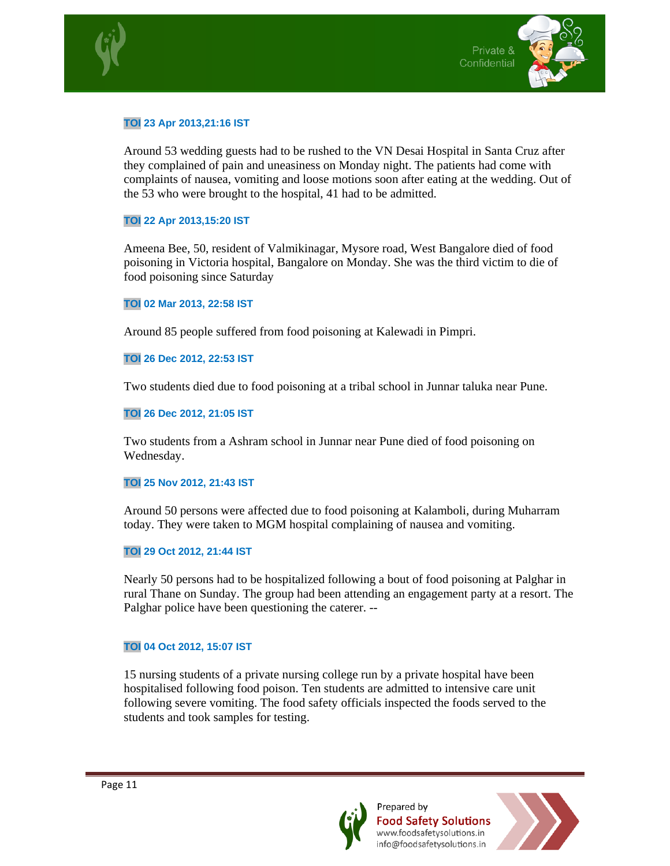



#### **TOI 23 Apr 2013,21:16 IST**

Around 53 wedding guests had to be rushed to the VN Desai Hospital in Santa Cruz after they complained of pain and uneasiness on Monday night. The patients had come with complaints of nausea, vomiting and loose motions soon after eating at the wedding. Out of the 53 who were brought to the hospital, 41 had to be admitted.

#### **TOI 22 Apr 2013,15:20 IST**

Ameena Bee, 50, resident of Valmikinagar, Mysore road, West Bangalore died of food poisoning in Victoria hospital, Bangalore on Monday. She was the third victim to die of food poisoning since Saturday

#### **TOI 02 Mar 2013, 22:58 IST**

Around 85 people suffered from food poisoning at Kalewadi in Pimpri.

#### **TOI 26 Dec 2012, 22:53 IST**

Two students died due to food poisoning at a tribal school in Junnar taluka near Pune.

#### **TOI 26 Dec 2012, 21:05 IST**

Two students from a Ashram school in Junnar near Pune died of food poisoning on Wednesday.

#### **TOI 25 Nov 2012, 21:43 IST**

Around 50 persons were affected due to food poisoning at Kalamboli, during Muharram today. They were taken to MGM hospital complaining of nausea and vomiting.

#### **TOI 29 Oct 2012, 21:44 IST**

Nearly 50 persons had to be hospitalized following a bout of food poisoning at Palghar in rural Thane on Sunday. The group had been attending an engagement party at a resort. The Palghar police have been questioning the caterer. --

#### **TOI 04 Oct 2012, 15:07 IST**

15 nursing students of a private nursing college run by a private hospital have been hospitalised following food poison. Ten students are admitted to intensive care unit following severe vomiting. The food safety officials inspected the foods served to the students and took samples for testing.



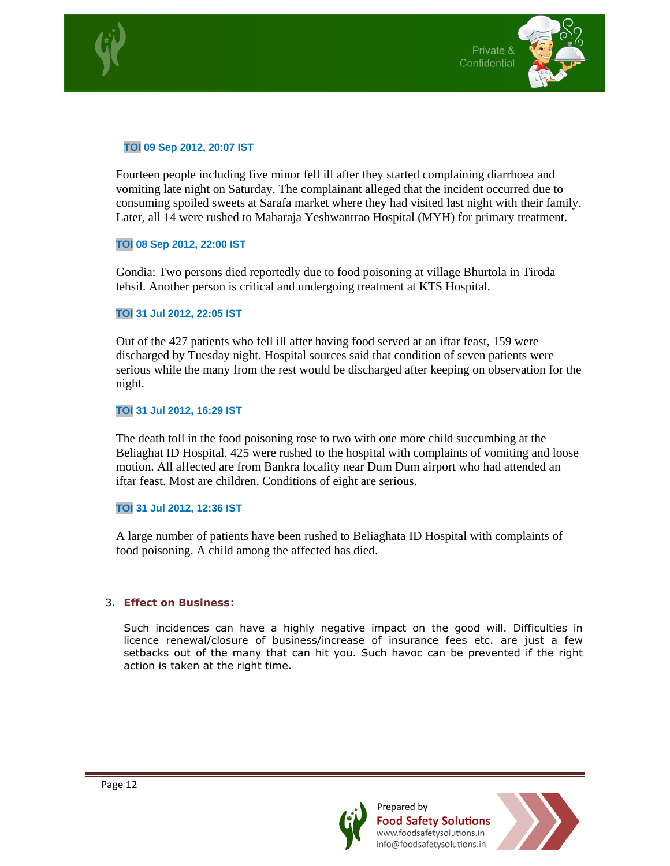



#### **TOI 09 Sep 2012, 20:07 IST**

Fourteen people including five minor fell ill after they started complaining diarrhoea and vomiting late night on Saturday. The complainant alleged that the incident occurred due to consuming spoiled sweets at Sarafa market where they had visited last night with their family. Later, all 14 were rushed to Maharaja Yeshwantrao Hospital (MYH) for primary treatment.

#### **TOI 08 Sep 2012, 22:00 IST**

Gondia: Two persons died reportedly due to food poisoning at village Bhurtola in Tiroda tehsil. Another person is critical and undergoing treatment at KTS Hospital.

#### **TOI 31 Jul 2012, 22:05 IST**

Out of the 427 patients who fell ill after having food served at an iftar feast, 159 were discharged by Tuesday night. Hospital sources said that condition of seven patients were serious while the many from the rest would be discharged after keeping on observation for the night.

#### **TOI 31 Jul 2012, 16:29 IST**

The death toll in the food poisoning rose to two with one more child succumbing at the Beliaghat ID Hospital. 425 were rushed to the hospital with complaints of vomiting and loose motion. All affected are from Bankra locality near Dum Dum airport who had attended an iftar feast. Most are children. Conditions of eight are serious.

#### **TOI 31 Jul 2012, 12:36 IST**

A large number of patients have been rushed to Beliaghata ID Hospital with complaints of food poisoning. A child among the affected has died.

#### 3. **Effect on Business**:

Such incidences can have a highly negative impact on the good will. Difficulties in licence renewal/closure of business/increase of insurance fees etc. are just a few setbacks out of the many that can hit you. Such havoc can be prevented if the right action is taken at the right time.



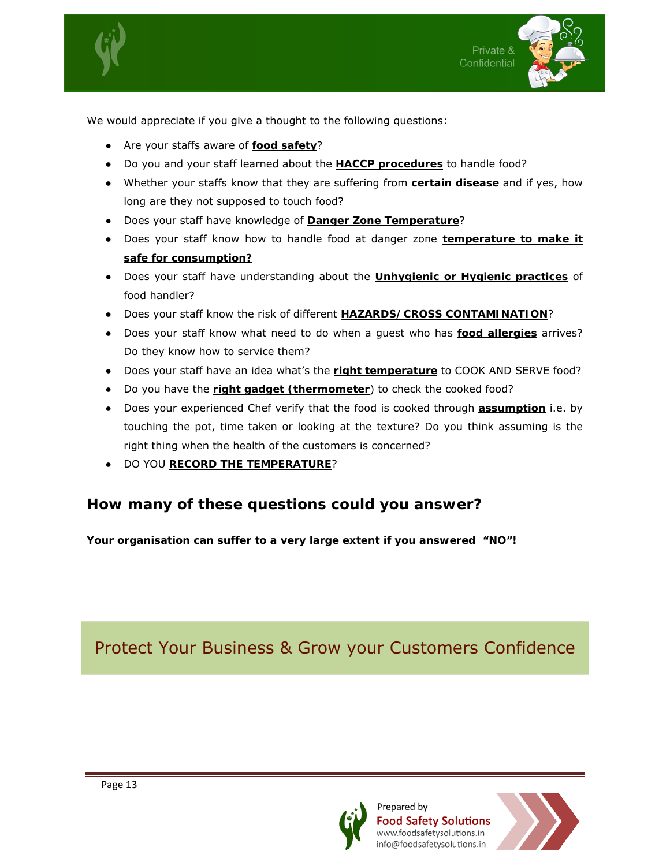



We would appreciate if you give a thought to the following questions:

- Are your staffs aware of **food safety**?
- Do you and your staff learned about the **HACCP procedures** to handle food?
- Whether your staffs know that they are suffering from **certain disease** and if yes, how long are they not supposed to touch food?
- Does your staff have knowledge of **Danger Zone Temperature**?
- Does your staff know how to handle food at danger zone **temperature to make it safe for consumption?**
- Does your staff have understanding about the **Unhygienic or Hygienic practices** of food handler?
- Does your staff know the risk of different **HAZARDS/CROSS CONTAMINATION**?
- Does your staff know what need to do when a guest who has **food allergies** arrives? Do they know how to service them?
- Does your staff have an idea what's the **right temperature** to COOK AND SERVE food?
- Do you have the **right gadget (thermometer**) to check the cooked food?
- Does your experienced Chef verify that the food is cooked through **assumption** i.e. by touching the pot, time taken or looking at the texture? Do you think assuming is the right thing when the health of the customers is concerned?
- DO YOU **RECORD THE TEMPERATURE**?

## **How many of these questions could you answer?**

**Your organisation can suffer to a very large extent if you answered "NO"!** 

Protect Your Business & Grow your Customers Confidence



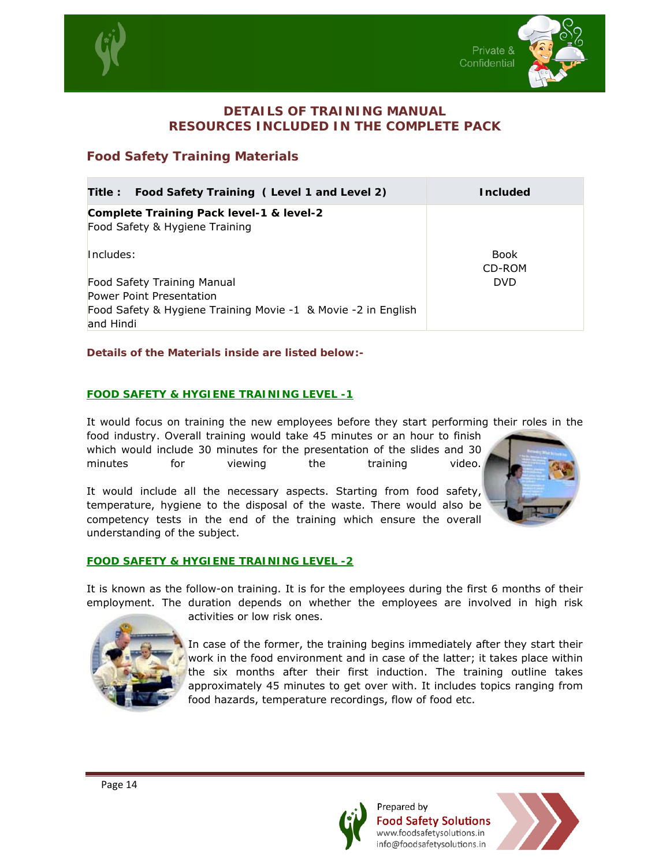



#### **DETAILS OF TRAINING MANUAL RESOURCES INCLUDED IN THE COMPLETE PACK**

#### **Food Safety Training Materials**

| Food Safety Training (Level 1 and Level 2)<br>Title :                      | <b>Included</b>       |
|----------------------------------------------------------------------------|-----------------------|
| Complete Training Pack level-1 & level-2<br>Food Safety & Hygiene Training |                       |
| Includes:                                                                  | <b>Book</b><br>CD-ROM |
| Food Safety Training Manual                                                | <b>DVD</b>            |
| <b>Power Point Presentation</b>                                            |                       |
| Food Safety & Hygiene Training Movie -1 & Movie -2 in English<br>and Hindi |                       |

#### **Details of the Materials inside are listed below:-**

#### **FOOD SAFETY & HYGIENE TRAINING LEVEL -1**

It would focus on training the new employees before they start performing their roles in the

food industry. Overall training would take 45 minutes or an hour to finish which would include 30 minutes for the presentation of the slides and 30 minutes for viewing the training video.

It would include all the necessary aspects. Starting from food safety, temperature, hygiene to the disposal of the waste. There would also be competency tests in the end of the training which ensure the overall understanding of the subject.

#### **FOOD SAFETY & HYGIENE TRAINING LEVEL -2**

It is known as the follow-on training. It is for the employees during the first 6 months of their employment. The duration depends on whether the employees are involved in high risk



activities or low risk ones.

In case of the former, the training begins immediately after they start their work in the food environment and in case of the latter; it takes place within the six months after their first induction. The training outline takes approximately 45 minutes to get over with. It includes topics ranging from food hazards, temperature recordings, flow of food etc.



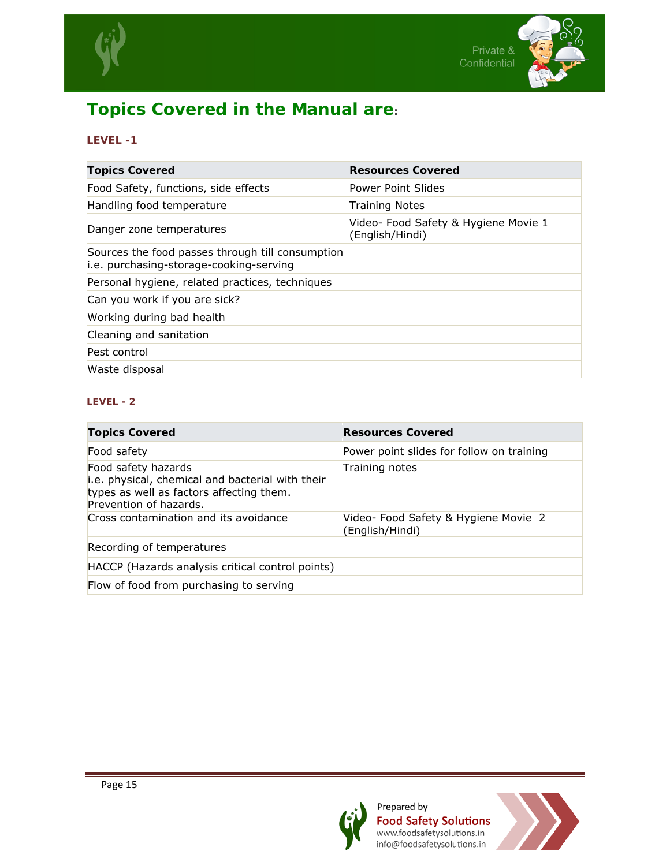



## **Topics Covered in the Manual are:**

#### **LEVEL -1**

| <b>Topics Covered</b>                                                                       | <b>Resources Covered</b>                                |
|---------------------------------------------------------------------------------------------|---------------------------------------------------------|
| Food Safety, functions, side effects                                                        | Power Point Slides                                      |
| Handling food temperature                                                                   | <b>Training Notes</b>                                   |
| Danger zone temperatures                                                                    | Video- Food Safety & Hygiene Movie 1<br>(English/Hindi) |
| Sources the food passes through till consumption<br>i.e. purchasing-storage-cooking-serving |                                                         |
| Personal hygiene, related practices, techniques                                             |                                                         |
| Can you work if you are sick?                                                               |                                                         |
| Working during bad health                                                                   |                                                         |
| Cleaning and sanitation                                                                     |                                                         |
| Pest control                                                                                |                                                         |
| Waste disposal                                                                              |                                                         |

#### **LEVEL - 2**

| <b>Topics Covered</b>                                                                                                                         | <b>Resources Covered</b>                                |
|-----------------------------------------------------------------------------------------------------------------------------------------------|---------------------------------------------------------|
| Food safety                                                                                                                                   | Power point slides for follow on training               |
| Food safety hazards<br>i.e. physical, chemical and bacterial with their<br>types as well as factors affecting them.<br>Prevention of hazards. | Training notes                                          |
| Cross contamination and its avoidance                                                                                                         | Video- Food Safety & Hygiene Movie 2<br>(English/Hindi) |
| Recording of temperatures                                                                                                                     |                                                         |
| HACCP (Hazards analysis critical control points)                                                                                              |                                                         |
| Flow of food from purchasing to serving                                                                                                       |                                                         |



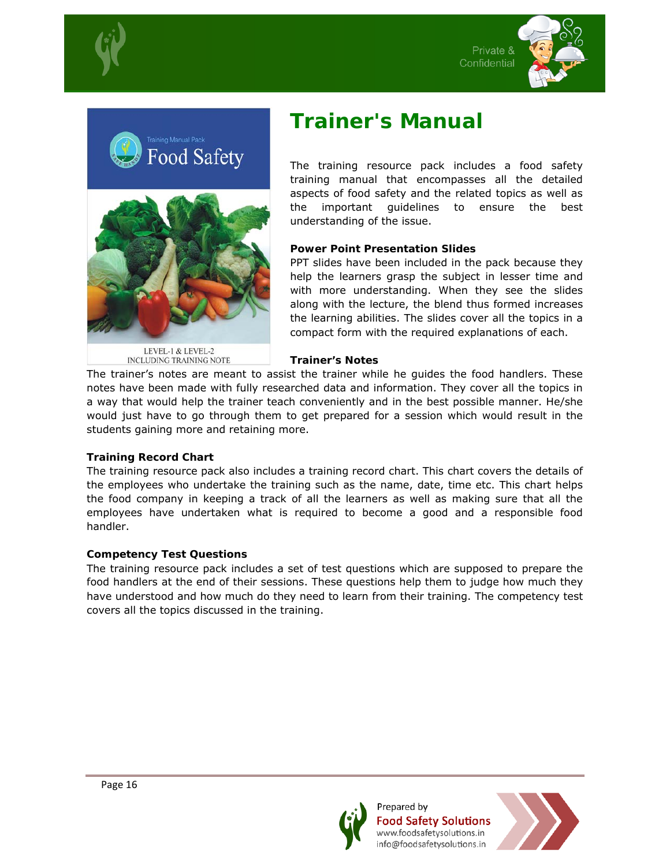







LEVEL-1 & LEVEL-2 INCLUDING TRAINING NOTE

## **Trainer's Manual**

The training resource pack includes a food safety training manual that encompasses all the detailed aspects of food safety and the related topics as well as the important guidelines to ensure the best understanding of the issue.

#### **Power Point Presentation Slides**

PPT slides have been included in the pack because they help the learners grasp the subject in lesser time and with more understanding. When they see the slides along with the lecture, the blend thus formed increases the learning abilities. The slides cover all the topics in a compact form with the required explanations of each.

#### **Trainer's Notes**

The trainer's notes are meant to assist the trainer while he guides the food handlers. These notes have been made with fully researched data and information. They cover all the topics in a way that would help the trainer teach conveniently and in the best possible manner. He/she would just have to go through them to get prepared for a session which would result in the students gaining more and retaining more.

#### **Training Record Chart**

The training resource pack also includes a training record chart. This chart covers the details of the employees who undertake the training such as the name, date, time etc. This chart helps the food company in keeping a track of all the learners as well as making sure that all the employees have undertaken what is required to become a good and a responsible food handler.

#### **Competency Test Questions**

The training resource pack includes a set of test questions which are supposed to prepare the food handlers at the end of their sessions. These questions help them to judge how much they have understood and how much do they need to learn from their training. The competency test covers all the topics discussed in the training.



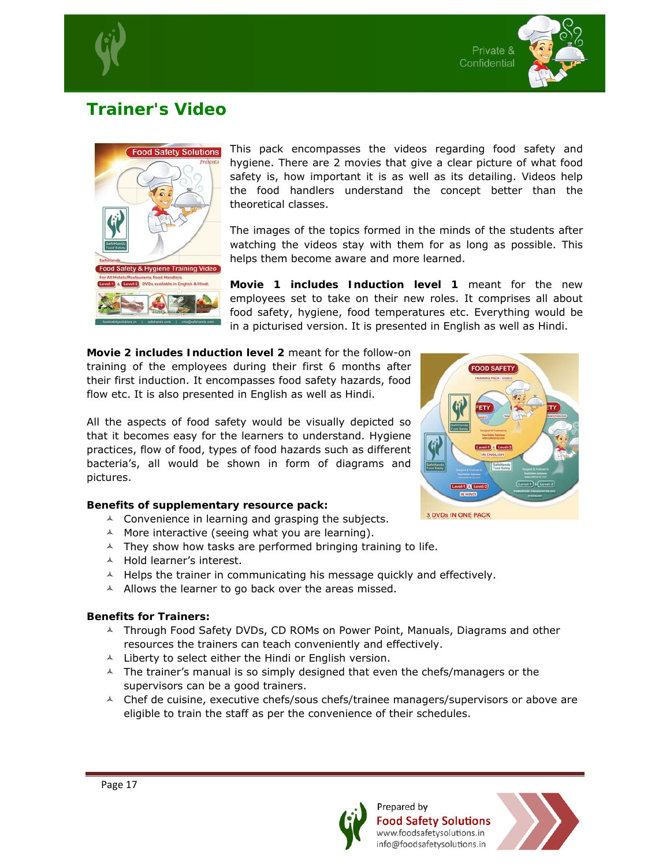

## **Trainer's Video**



This pack encompasses the videos regarding food safety and hygiene. There are 2 movies that give a clear picture of what food safety is, how important it is as well as its detailing. Videos help the food handlers understand the concept better than the theoretical classes.

The images of the topics formed in the minds of the students after watching the videos stay with them for as long as possible. This helps them become aware and more learned.

**Movie 1 includes Induction level 1** meant for the new employees set to take on their new roles. It comprises all about food safety, hygiene, food temperatures etc. Everything would be in a picturised version. It is presented in English as well as Hindi.

**Movie 2 includes Induction level 2** meant for the follow-on training of the employees during their first 6 months after their first induction. It encompasses food safety hazards, food flow etc. It is also presented in English as well as Hindi.

All the aspects of food safety would be visually depicted so that it becomes easy for the learners to understand. Hygiene practices, flow of food, types of food hazards such as different bacteria's, all would be shown in form of diagrams and pictures.

#### **Benefits of supplementary resource pack:**

- $\lambda$  Convenience in learning and grasping the subjects.
- $\land$  More interactive (seeing what you are learning).
- $\lambda$  They show how tasks are performed bringing training to life.
- $\triangle$  Hold learner's interest.
- $\triangle$  Helps the trainer in communicating his message quickly and effectively.
- $\triangle$  Allows the learner to go back over the areas missed.

#### **Benefits for Trainers:**

- $\land$  Through Food Safety DVDs, CD ROMs on Power Point, Manuals, Diagrams and other resources the trainers can teach conveniently and effectively.
- $\lambda$  Liberty to select either the Hindi or English version.
- $\triangle$  The trainer's manual is so simply designed that even the chefs/managers or the supervisors can be a good trainers.
- $\triangle$  Chef de cuisine, executive chefs/sous chefs/trainee managers/supervisors or above are eligible to train the staff as per the convenience of their schedules.